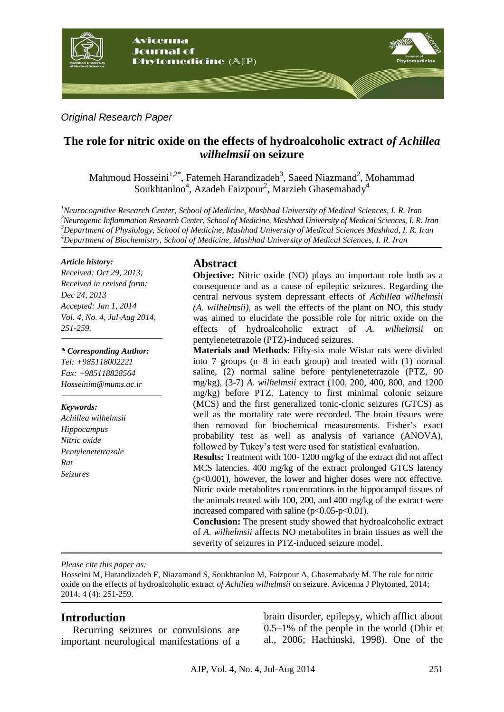

### *Original Research Paper*

# **The role for nitric oxide on the effects of hydroalcoholic extract** *of Achillea wilhelmsii* **on seizure**

Mahmoud Hosseini<sup>1,2\*</sup>, Fatemeh Harandizadeh<sup>3</sup>, Saeed Niazmand<sup>2</sup>, Mohammad Soukhtanloo<sup>4</sup>, Azadeh Faizpour<sup>2</sup>, Marzieh Ghasemabady<sup>4</sup>

*Neurocognitive Research Center, School of Medicine, Mashhad University of Medical Sciences, I. R. Iran Neurogenic Inflammation Research Center, School of Medicine, Mashhad University of Medical Sciences, I. R. Iran Department of Physiology, School of Medicine, Mashhad University of Medical Sciences Mashhad, I. R. Iran Department of Biochemistry, School of Medicine, Mashhad University of Medical Sciences, I. R. Iran*

#### *Article history:*

*Received: Oct 29, 2013; Received in revised form: Dec 24, 2013 Accepted: Jan 1, 2014 Vol. 4, No. 4, Jul-Aug 2014, 251-259.*

*\* Corresponding Author: Tel: +985118002221 Fax: +985118828564 Hosseinim@mums.ac.ir*

#### *Keywords:*

*Achillea wilhelmsii Hippocampus Nitric oxide Pentylenetetrazole Rat Seizures*

### **Abstract**

**Objective:** Nitric oxide (NO) plays an important role both as a consequence and as a cause of epileptic seizures. Regarding the central nervous system depressant effects of *Achillea wilhelmsii (A. wilhelmsii)*, as well the effects of the plant on NO, this study was aimed to elucidate the possible role for nitric oxide on the effects of hydroalcoholic extract of *A. wilhelmsii* on pentylenetetrazole (PTZ)-induced seizures.

**Materials and Methods**: Fifty-six male Wistar rats were divided into 7 groups (n=8 in each group) and treated with (1) normal saline, (2) normal saline before pentylenetetrazole (PTZ, 90 mg/kg), (3-7) *A. wilhelmsii* extract (100, 200, 400, 800, and 1200 mg/kg) before PTZ. Latency to first minimal colonic seizure (MCS) and the first generalized tonic-clonic seizures (GTCS) as well as the mortality rate were recorded. The brain tissues were then removed for biochemical measurements. Fisher's exact probability test as well as analysis of variance (ANOVA), followed by Tukey's test were used for statistical evaluation.

**Results:** Treatment with 100- 1200 mg/kg of the extract did not affect MCS latencies. 400 mg/kg of the extract prolonged GTCS latency (p<0.001), however, the lower and higher doses were not effective. Nitric oxide metabolites concentrations in the hippocampal tissues of the animals treated with 100, 200, and 400 mg/kg of the extract were increased compared with saline  $(p<0.05-p<0.01)$ .

**Conclusion:** The present study showed that hydroalcoholic extract of *A. wilhelmsii* affects NO metabolites in brain tissues as well the severity of seizures in PTZ-induced seizure model.

*Please cite this paper as:* 

Hosseini M, Harandizadeh F, Niazamand S, Soukhtanloo M, Faizpour A, Ghasemabady M. The role for nitric oxide on the effects of hydroalcoholic extract *of Achillea wilhelmsii* on seizure. Avicenna J Phytomed, 2014; 2014; 4 (4): 251-259.

### **Introduction**

Recurring seizures or convulsions are important neurological manifestations of a brain disorder, epilepsy, which afflict about 0.5–1% of the people in the world (Dhir et al., 2006; Hachinski, 1998). One of the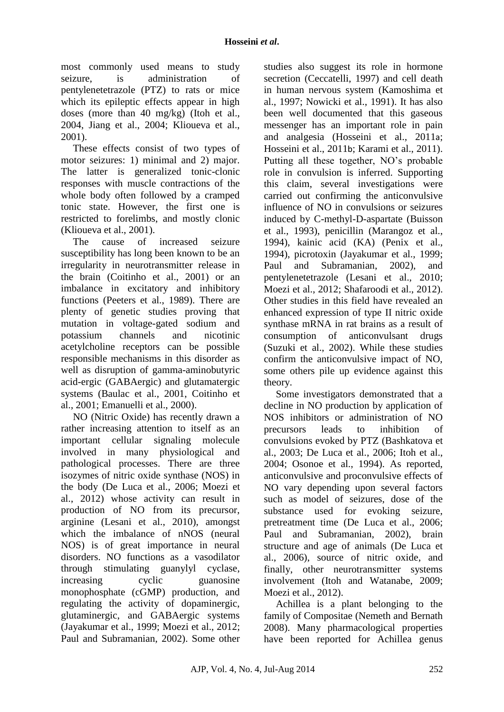most commonly used means to study seizure, is administration of pentylenetetrazole (PTZ) to rats or mice which its epileptic effects appear in high doses (more than 40 mg/kg) (Itoh et al., 2004, Jiang et al., 2004; Klioueva et al., 2001).

These effects consist of two types of motor seizures: 1) minimal and 2) major. The latter is generalized tonic-clonic responses with muscle contractions of the whole body often followed by a cramped tonic state. However, the first one is restricted to forelimbs, and mostly clonic (Klioueva et al., 2001).

The cause of increased seizure susceptibility has long been known to be an irregularity in neurotransmitter release in the brain (Coitinho et al., 2001) or an imbalance in excitatory and inhibitory functions (Peeters et al., 1989). There are plenty of genetic studies proving that mutation in voltage-gated sodium and potassium channels and nicotinic acetylcholine receptors can be possible responsible mechanisms in this disorder as well as disruption of gamma-aminobutyric acid-ergic (GABAergic) and glutamatergic systems (Baulac et al., 2001, Coitinho et al., 2001; Emanuelli et al., 2000).

NO (Nitric Oxide) has recently drawn a rather increasing attention to itself as an important cellular signaling molecule involved in many physiological and pathological processes. There are three isozymes of nitric oxide synthase (NOS) in the body (De Luca et al., 2006; Moezi et al., 2012) whose activity can result in production of NO from its precursor, arginine (Lesani et al., 2010), amongst which the imbalance of nNOS (neural NOS) is of great importance in neural disorders. NO functions as a vasodilator through stimulating guanylyl cyclase, increasing cyclic guanosine monophosphate (cGMP) production, and regulating the activity of dopaminergic, glutaminergic, and GABAergic systems (Jayakumar et al., 1999; Moezi et al., 2012; Paul and Subramanian, 2002). Some other studies also suggest its role in hormone secretion (Ceccatelli, 1997) and cell death in human nervous system (Kamoshima et al., 1997; Nowicki et al., 1991). It has also been well documented that this gaseous messenger has an important role in pain and analgesia (Hosseini et al., 2011a; Hosseini et al., 2011b; Karami et al., 2011). Putting all these together, NO's probable role in convulsion is inferred. Supporting this claim, several investigations were carried out confirming the anticonvulsive influence of NO in convulsions or seizures induced by C-methyl-D-aspartate (Buisson et al., 1993), penicillin (Marangoz et al., 1994), kainic acid (KA) (Penix et al., 1994), picrotoxin (Jayakumar et al., 1999; Paul and Subramanian, 2002), and pentylenetetrazole (Lesani et al., 2010; Moezi et al., 2012; Shafaroodi et al., 2012). Other studies in this field have revealed an enhanced expression of type II nitric oxide synthase mRNA in rat brains as a result of consumption of anticonvulsant drugs (Suzuki et al., 2002). While these studies confirm the anticonvulsive impact of NO, some others pile up evidence against this theory.

Some investigators demonstrated that a decline in NO production by application of NOS inhibitors or administration of NO precursors leads to inhibition of convulsions evoked by PTZ (Bashkatova et al., 2003; De Luca et al., 2006; Itoh et al., 2004; Osonoe et al., 1994). As reported, anticonvulsive and proconvulsive effects of NO vary depending upon several factors such as model of seizures, dose of the substance used for evoking seizure, pretreatment time (De Luca et al., 2006; Paul and Subramanian, 2002), brain structure and age of animals (De Luca et al., 2006), source of nitric oxide, and finally, other neurotransmitter systems involvement (Itoh and Watanabe, 2009; Moezi et al., 2012).

Achillea is a plant belonging to the family of Compositae (Nemeth and Bernath 2008). Many pharmacological properties have been reported for Achillea genus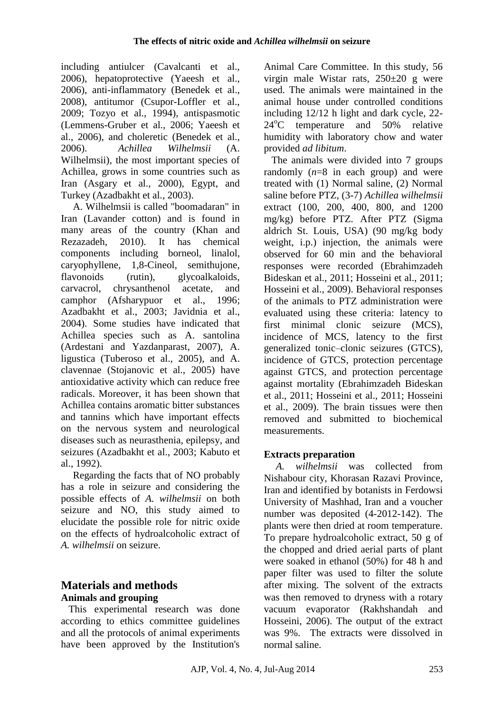including antiulcer (Cavalcanti et al., 2006), hepatoprotective (Yaeesh et al., 2006), anti-inflammatory (Benedek et al., 2008), antitumor (Csupor-Loffler et al., 2009; Tozyo et al., 1994), antispasmotic (Lemmens-Gruber et al., 2006; Yaeesh et al., 2006), and choleretic (Benedek et al., 2006). *Achillea Wilhelmsii* (A. Wilhelmsii), the most important species of Achillea, grows in some countries such as Iran (Asgary et al., 2000), Egypt, and Turkey (Azadbakht et al., 2003).

A. Wilhelmsii is called "boomadaran" in Iran (Lavander cotton) and is found in many areas of the country (Khan and Rezazadeh, 2010). It has chemical components including borneol, linalol, caryophyllene, 1,8-Cineol, semithujone, flavonoids (rutin), glycoalkaloids, carvacrol, chrysanthenol acetate, and camphor (Afsharypuor et al., 1996; Azadbakht et al., 2003; Javidnia et al., 2004). Some studies have indicated that Achillea species such as A. santolina (Ardestani and Yazdanparast, 2007), A. ligustica (Tuberoso et al., 2005), and A. clavennae (Stojanovic et al., 2005) have antioxidative activity which can reduce free radicals. Moreover, it has been shown that Achillea contains aromatic bitter substances and tannins which have important effects on the nervous system and neurological diseases such as neurasthenia, epilepsy, and seizures (Azadbakht et al., 2003; Kabuto et al., 1992).

Regarding the facts that of NO probably has a role in seizure and considering the possible effects of *A. wilhelmsii* on both seizure and NO, this study aimed to elucidate the possible role for nitric oxide on the effects of hydroalcoholic extract of *A. wilhelmsii* on seizure.

### **Materials and methods Animals and grouping**

This experimental research was done according to ethics committee guidelines and all the protocols of animal experiments have been approved by the Institution's Animal Care Committee. In this study, 56 virgin male Wistar rats, 250±20 g were used. The animals were maintained in the animal house under controlled conditions including 12/12 h light and dark cycle, 22-  $24^{\circ}$ C temperature and 50% relative humidity with laboratory chow and water provided *ad libitum*.

The animals were divided into 7 groups randomly (*n*=8 in each group) and were treated with (1) Normal saline, (2) Normal saline before PTZ, (3-7) *Achillea wilhelmsii* extract (100, 200, 400, 800, and 1200 mg/kg) before PTZ. After PTZ (Sigma aldrich St. Louis, USA) (90 mg/kg body weight, i.p.) injection, the animals were observed for 60 min and the behavioral responses were recorded (Ebrahimzadeh Bideskan et al., 2011; Hosseini et al., 2011; Hosseini et al., 2009). Behavioral responses of the animals to PTZ administration were evaluated using these criteria: latency to first minimal clonic seizure (MCS), incidence of MCS, latency to the first generalized tonic–clonic seizures (GTCS), incidence of GTCS, protection percentage against GTCS, and protection percentage against mortality (Ebrahimzadeh Bideskan et al., 2011; Hosseini et al., 2011; Hosseini et al., 2009). The brain tissues were then removed and submitted to biochemical measurements.

# **Extracts preparation**

*A. wilhelmsii* was collected from Nishabour city, Khorasan Razavi Province, Iran and identified by botanists in Ferdowsi University of Mashhad, Iran and a voucher number was deposited (4-2012-142). The plants were then dried at room temperature. To prepare hydroalcoholic extract, 50 g of the chopped and dried aerial parts of plant were soaked in ethanol (50%) for 48 h and paper filter was used to filter the solute after mixing. The solvent of the extracts was then removed to dryness with a rotary vacuum evaporator (Rakhshandah and Hosseini, 2006). The output of the extract was 9%. The extracts were dissolved in normal saline.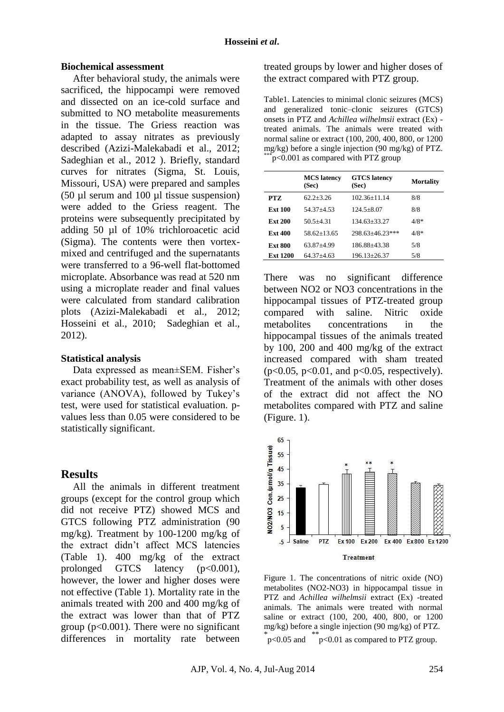#### **Biochemical assessment**

After behavioral study, the animals were sacrificed, the hippocampi were removed and dissected on an ice-cold surface and submitted to NO metabolite measurements in the tissue. The Griess reaction was adapted to assay nitrates as previously described (Azizi-Malekabadi et al., 2012; Sadeghian et al., 2012 ). Briefly, standard curves for nitrates (Sigma, St. Louis, Missouri, USA) were prepared and samples (50 µl serum and 100 µl tissue suspension) were added to the Griess reagent. The proteins were subsequently precipitated by adding 50 µl of 10% trichloroacetic acid (Sigma). The contents were then vortexmixed and centrifuged and the supernatants were transferred to a 96-well flat-bottomed microplate. Absorbance was read at 520 nm using a microplate reader and final values were calculated from standard calibration plots (Azizi-Malekabadi et al., 2012; Hosseini et al., 2010; Sadeghian et al., 2012).

#### **Statistical analysis**

Data expressed as mean±SEM. Fisher's exact probability test, as well as analysis of variance (ANOVA), followed by Tukey's test, were used for statistical evaluation. pvalues less than 0.05 were considered to be statistically significant.

#### **Results**

All the animals in different treatment groups (except for the control group which did not receive PTZ) showed MCS and GTCS following PTZ administration (90 mg/kg). Treatment by 100-1200 mg/kg of the extract didn't affect MCS latencies (Table 1). 400 mg/kg of the extract prolonged GTCS latency  $(p<0.001)$ , however, the lower and higher doses were not effective (Table 1). Mortality rate in the animals treated with 200 and 400 mg/kg of the extract was lower than that of PTZ group ( $p<0.001$ ). There were no significant differences in mortality rate between treated groups by lower and higher doses of the extract compared with PTZ group.

Table1. Latencies to minimal clonic seizures (MCS) and generalized tonic–clonic seizures (GTCS) onsets in PTZ and *Achillea wilhelmsii* extract (Ex) treated animals. The animals were treated with normal saline or extract (100, 200, 400, 800, or 1200 mg/kg) before a single injection (90 mg/kg) of PTZ.  $\epsilon$  p<0.001 as compared with PTZ group

|                 | <b>MCS</b> latency<br>(Sec) | <b>GTCS</b> latency<br>(Sec) | Mortality |
|-----------------|-----------------------------|------------------------------|-----------|
| PTZ.            | $62.2 + 3.26$               | $102.36 + 11.14$             | 8/8       |
| <b>Ext 100</b>  | $54.37 + 4.53$              | $124.5 + 8.07$               | 8/8       |
| <b>Ext 200</b>  | $50.5 + 4.31$               | $134.63 + 33.27$             | $4/8*$    |
| <b>Ext 400</b>  | $58.62 + 13.65$             | $298.63 + 46.23$ ***         | $4/8*$    |
| <b>Ext 800</b>  | 63.87+4.99                  | 186.88+43.38                 | 5/8       |
| <b>Ext 1200</b> | $64.37 + 4.63$              | 196.13+26.37                 | 5/8       |

There was no significant difference between NO2 or NO3 concentrations in the hippocampal tissues of PTZ-treated group compared with saline. Nitric oxide metabolites concentrations in the hippocampal tissues of the animals treated by 100, 200 and 400 mg/kg of the extract increased compared with sham treated  $(p<0.05, p<0.01,$  and  $p<0.05$ , respectively). Treatment of the animals with other doses of the extract did not affect the NO metabolites compared with PTZ and saline (Figure. 1).



Figure 1. The concentrations of nitric oxide (NO) metabolites (NO2-NO3) in hippocampal tissue in PTZ and *Achillea wilhelmsii* extract (Ex) -treated animals. The animals were treated with normal saline or extract (100, 200, 400, 800, or 1200 mg/kg) before a single injection (90 mg/kg) of PTZ.  $p<sub>1</sub> <$  p<0.05 and  $p<sub>2</sub> <$  p<0.01 as compared to PTZ group.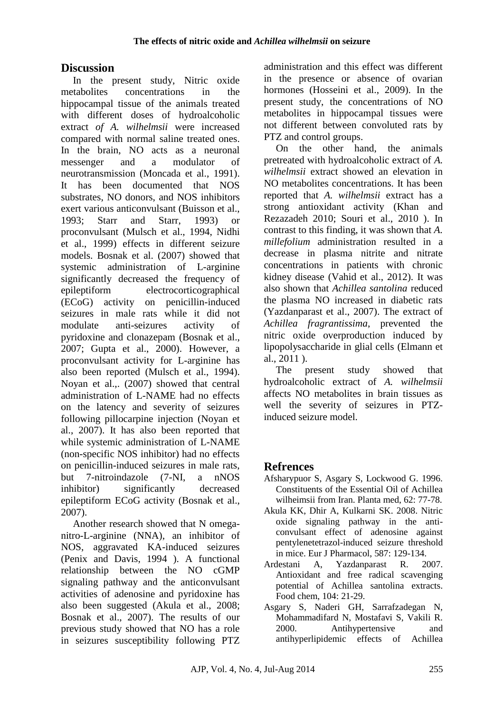## **Discussion**

In the present study, Nitric oxide metabolites concentrations in the hippocampal tissue of the animals treated with different doses of hydroalcoholic extract *of A. wilhelmsii* were increased compared with normal saline treated ones. In the brain. NO acts as a neuronal messenger and a modulator of neurotransmission (Moncada et al., 1991). It has been documented that NOS substrates, NO donors, and NOS inhibitors exert various anticonvulsant (Buisson et al., 1993; Starr and Starr, 1993) or proconvulsant (Mulsch et al., 1994, Nidhi et al., 1999) effects in different seizure models. Bosnak et al. (2007) showed that systemic administration of L-arginine significantly decreased the frequency of epileptiform electrocorticographical (ECoG) activity on penicillin-induced seizures in male rats while it did not modulate anti-seizures activity of pyridoxine and clonazepam (Bosnak et al., 2007; Gupta et al., 2000). However, a proconvulsant activity for L-arginine has also been reported (Mulsch et al., 1994). Noyan et al.,. (2007) showed that central administration of L-NAME had no effects on the latency and severity of seizures following pillocarpine injection (Noyan et al., 2007). It has also been reported that while systemic administration of L-NAME (non-specific NOS inhibitor) had no effects on penicillin-induced seizures in male rats, but 7-nitroindazole (7-NI, a nNOS inhibitor) significantly decreased epileptiform ECoG activity (Bosnak et al., 2007).

Another research showed that N omeganitro-L-arginine (NNA), an inhibitor of NOS, aggravated KA-induced seizures (Penix and Davis, 1994 ). A functional relationship between the NO cGMP signaling pathway and the anticonvulsant activities of adenosine and pyridoxine has also been suggested (Akula et al., 2008; Bosnak et al., 2007). The results of our previous study showed that NO has a role in seizures susceptibility following PTZ

administration and this effect was different in the presence or absence of ovarian hormones (Hosseini et al., 2009). In the present study, the concentrations of NO metabolites in hippocampal tissues were not different between convoluted rats by PTZ and control groups.

On the other hand, the animals pretreated with hydroalcoholic extract of *A. wilhelmsii* extract showed an elevation in NO metabolites concentrations. It has been reported that *A. wilhelmsii* extract has a strong antioxidant activity (Khan and Rezazadeh 2010; Souri et al., 2010 ). In contrast to this finding, it was shown that *A. millefolium* administration resulted in a decrease in plasma nitrite and nitrate concentrations in patients with chronic kidney disease (Vahid et al., 2012). It was also shown that *Achillea santolina* reduced the plasma NO increased in diabetic rats (Yazdanparast et al., 2007). The extract of *Achillea fragrantissima*, prevented the nitric oxide overproduction induced by lipopolysaccharide in glial cells (Elmann et al., 2011 ).

The present study showed that hydroalcoholic extract of *A. wilhelmsii* affects NO metabolites in brain tissues as well the severity of seizures in PTZinduced seizure model.

# **Refrences**

- Afsharypuor S, Asgary S, Lockwood G. 1996. Constituents of the Essential Oil of Achillea wilheimsii from Iran. Planta med, 62: 77-78.
- Akula KK, Dhir A, Kulkarni SK. 2008. Nitric oxide signaling pathway in the anticonvulsant effect of adenosine against pentylenetetrazol-induced seizure threshold in mice. Eur J Pharmacol, 587: 129-134.
- Ardestani A, Yazdanparast R. 2007. Antioxidant and free radical scavenging potential of Achillea santolina extracts. Food chem, 104: 21-29.
- Asgary S, Naderi GH, Sarrafzadegan N, Mohammadifard N, Mostafavi S, Vakili R. 2000. Antihypertensive and antihyperlipidemic effects of Achillea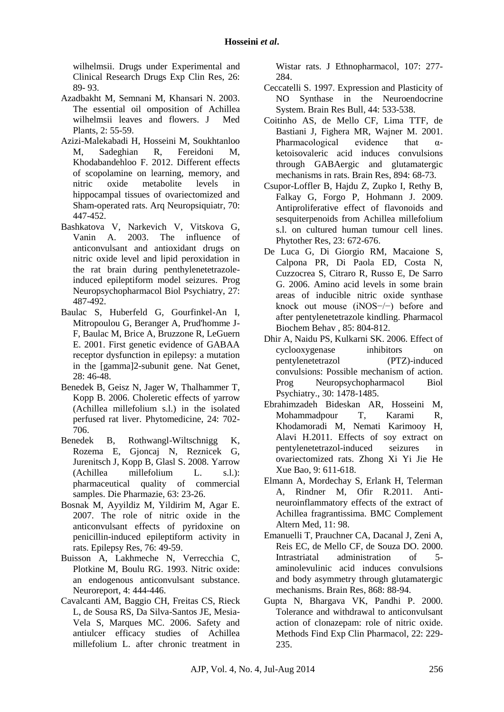wilhelmsii. Drugs under Experimental and Clinical Research [Drugs Exp Clin Res,](http://www.ncbi.nlm.nih.gov/pubmed/10941601) 26: 89- 93.

- Azadbakht M, Semnani M, Khansari N. 2003. The essential oil omposition of Achillea wilhelmsii leaves and flowers. J Med Plants, 2: 55-59.
- Azizi-Malekabadi H, Hosseini M, Soukhtanloo M, Sadeghian R, Fereidoni M, Khodabandehloo F. 2012. Different effects of scopolamine on learning, memory, and nitric oxide metabolite levels in hippocampal tissues of ovariectomized and Sham-operated rats. Arq Neuropsiquiatr, 70: 447-452.
- Bashkatova V, Narkevich V, Vitskova G, Vanin A. 2003. The influence of anticonvulsant and antioxidant drugs on nitric oxide level and lipid peroxidation in the rat brain during penthylenetetrazoleinduced epileptiform model seizures. Prog Neuropsychopharmacol Biol Psychiatry, 27: 487-492.
- Baulac S, Huberfeld G, Gourfinkel-An I, Mitropoulou G, Beranger A, Prud'homme J-F, Baulac M, Brice A, Bruzzone R, LeGuern E. 2001. First genetic evidence of GABAA receptor dysfunction in epilepsy: a mutation in the [gamma]2-subunit gene. Nat Genet, 28: 46-48.
- Benedek B, Geisz N, Jager W, Thalhammer T, Kopp B. 2006. Choleretic effects of yarrow (Achillea millefolium s.l.) in the isolated perfused rat liver. Phytomedicine, 24: 702- 706.
- Benedek B, Rothwangl-Wiltschnigg K, Rozema E, Gjoncaj N, Reznicek G, Jurenitsch J, Kopp B, Glasl S. 2008. Yarrow (Achillea millefolium L. s.l.): pharmaceutical quality of commercial samples. Die Pharmazie, 63: 23-26.
- Bosnak M, Ayyildiz M, Yildirim M, Agar E. 2007. The role of nitric oxide in the anticonvulsant effects of pyridoxine on penicillin-induced epileptiform activity in rats. Epilepsy Res, 76: 49-59.
- Buisson A, Lakhmeche N, Verrecchia C, Plotkine M, Boulu RG. 1993. Nitric oxide: an endogenous anticonvulsant substance. Neuroreport, 4: 444-446.
- Cavalcanti AM, Baggio CH, Freitas CS, Rieck L, de Sousa RS, Da Silva-Santos JE, Mesia-Vela S, Marques MC. 2006. Safety and antiulcer efficacy studies of Achillea millefolium L. after chronic treatment in

Wistar rats. J Ethnopharmacol, 107: 277- 284.

- Ceccatelli S. 1997. Expression and Plasticity of NO Synthase in the Neuroendocrine System. Brain Res Bull, 44: 533-538.
- Coitinho AS, de Mello CF, Lima TTF, de Bastiani J, Fighera MR, Wajner M. 2001. Pharmacological evidence that  $\alpha$ ketoisovaleric acid induces convulsions through GABAergic and glutamatergic mechanisms in rats. [Brain Res,](http://www.ncbi.nlm.nih.gov/pubmed/?term=Pharmacological+evidence+that+%CE%B1-ketoisovaleric+acid+induces+convulsions+through+GABAergic+and+glutamatergic+mechanisms+in+rats) 894: 68-73.
- Csupor-Loffler B, Hajdu Z, Zupko I, Rethy B, Falkay G, Forgo P, Hohmann J. 2009. Antiproliferative effect of flavonoids and sesquiterpenoids from Achillea millefolium s.l. on cultured human tumour cell lines. Phytother Res, 23: 672-676.
- De Luca G, Di Giorgio RM, Macaione S, Calpona PR, Di Paola ED, Costa N, Cuzzocrea S, Citraro R, Russo E, De Sarro G. 2006. Amino acid levels in some brain areas of inducible nitric oxide synthase knock out mouse (iNOS−/−) before and after pentylenetetrazole kindling. Pharmacol Biochem Behav , 85: 804-812.
- Dhir A, Naidu PS, Kulkarni SK. 2006. Effect of cyclooxygenase inhibitors on pentylenetetrazol (PTZ)-induced convulsions: Possible mechanism of action. Prog Neuropsychopharmacol Biol Psychiatry., 30: 1478-1485.
- Ebrahimzadeh Bideskan AR, Hosseini M, Mohammadpour T, Karami R, Khodamoradi M, Nemati Karimooy H, Alavi H.2011. Effects of soy extract on pentylenetetrazol-induced seizures in ovariectomized rats. Zhong Xi Yi Jie He Xue Bao, 9: 611-618.
- Elmann A, Mordechay S, Erlank H, Telerman A, Rindner M, Ofir R.2011. Antineuroinflammatory effects of the extract of Achillea fragrantissima. BMC Complement Altern Med, 11: 98.
- Emanuelli T, Prauchner CA, Dacanal J, Zeni A, Reis EC, de Mello CF, de Souza DO. 2000. Intrastriatal administration of 5 aminolevulinic acid induces convulsions and body asymmetry through glutamatergic mechanisms. Brain Res, 868: 88-94.
- Gupta N, Bhargava VK, Pandhi P. 2000. Tolerance and withdrawal to anticonvulsant action of clonazepam: role of nitric oxide. Methods Find Exp Clin Pharmacol, 22: 229- 235.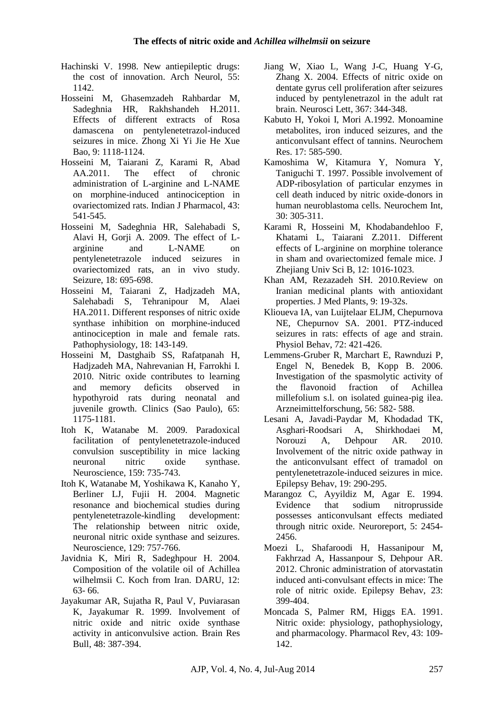- Hachinski V. 1998. New antiepileptic drugs: the cost of innovation. Arch Neurol, 55: 1142.
- Hosseini M, Ghasemzadeh Rahbardar M, Sadeghnia HR, Rakhshandeh H.2011. Effects of different extracts of Rosa damascena on pentylenetetrazol-induced seizures in mice. Zhong Xi Yi Jie He Xue Bao, 9: 1118-1124.
- Hosseini M, Taiarani Z, Karami R, Abad AA.2011. The effect of chronic administration of L-arginine and L-NAME on morphine-induced antinociception in ovariectomized rats. Indian J Pharmacol, 43: 541-545.
- Hosseini M, Sadeghnia HR, Salehabadi S, Alavi H, Gorii A, 2009. The effect of Larginine and L-NAME on pentylenetetrazole induced seizures in ovariectomized rats, an in vivo study. Seizure, 18: 695-698.
- Hosseini M, Taiarani Z, Hadjzadeh MA, Salehabadi S, Tehranipour M, Alaei HA.2011. Different responses of nitric oxide synthase inhibition on morphine-induced antinociception in male and female rats. Pathophysiology, 18: 143-149.
- Hosseini M, Dastghaib SS, Rafatpanah H, Hadjzadeh MA, Nahrevanian H, Farrokhi I. 2010. Nitric oxide contributes to learning and memory deficits observed in hypothyroid rats during neonatal and juvenile growth. Clinics (Sao Paulo), 65: 1175-1181.
- Itoh K, Watanabe M. 2009. Paradoxical facilitation of pentylenetetrazole-induced convulsion susceptibility in mice lacking neuronal nitric oxide synthase. Neuroscience, 159: 735-743.
- Itoh K, Watanabe M, Yoshikawa K, Kanaho Y, Berliner LJ, Fujii H. 2004. Magnetic resonance and biochemical studies during pentylenetetrazole-kindling development: The relationship between nitric oxide, neuronal nitric oxide synthase and seizures. Neuroscience, 129: 757-766.
- Javidnia K, Miri R, Sadeghpour H. 2004. Composition of the volatile oil of Achillea wilhelmsii C. Koch from Iran. DARU, 12: 63- 66.
- Jayakumar AR, Sujatha R, Paul V, Puviarasan K, Jayakumar R. 1999. Involvement of nitric oxide and nitric oxide synthase activity in anticonvulsive action. Brain Res Bull, 48: 387-394.
- Jiang W, Xiao L, Wang J-C, Huang Y-G, Zhang X. 2004. Effects of nitric oxide on dentate gyrus cell proliferation after seizures induced by pentylenetrazol in the adult rat brain. Neurosci Lett, 367: 344-348.
- Kabuto H, Yokoi I, Mori A.1992. [Monoamine](http://www.ncbi.nlm.nih.gov/pubmed/1376445)  [metabolites, iron induced seizures, and the](http://www.ncbi.nlm.nih.gov/pubmed/1376445)  [anticonvulsant effect of tannins.](http://www.ncbi.nlm.nih.gov/pubmed/1376445) Neurochem Res. 17: 585-590.
- Kamoshima W, Kitamura Y, Nomura Y, Taniguchi T. 1997. Possible involvement of ADP-ribosylation of particular enzymes in cell death induced by nitric oxide-donors in human neuroblastoma cells. Neurochem Int, 30: 305-311.
- Karami R, Hosseini M, Khodabandehloo F, Khatami L, Taiarani Z.2011. Different effects of L-arginine on morphine tolerance in sham and ovariectomized female mice. J Zhejiang Univ Sci B, 12: 1016-1023.
- Khan AM, Rezazadeh SH. 2010.Review on Iranian medicinal plants with antioxidant properties. J Med Plants, 9: 19-32s.
- Klioueva IA, van Luijtelaar ELJM, Chepurnova NE, Chepurnov SA. 2001. PTZ-induced seizures in rats: effects of age and strain. [Physiol Behav,](http://www.ncbi.nlm.nih.gov/pubmed/?term=PTZ-induced+seizures+in+rats%3A+effects+of+age+and+strain) 72: 421-426.
- Lemmens-Gruber R, Marchart E, Rawnduzi P, Engel N, Benedek B, Kopp B. 2006. Investigation of the spasmolytic activity of the flavonoid fraction of Achillea millefolium s.l. on isolated guinea-pig ilea. Arzneimittelforschung, 56: 582- 588.
- Lesani A, Javadi-Paydar M, Khodadad TK, Asghari-Roodsari A, Shirkhodaei M, Norouzi A, Dehpour AR. 2010. Involvement of the nitric oxide pathway in the anticonvulsant effect of tramadol on pentylenetetrazole-induced seizures in mice. [Epilepsy Behav,](http://www.ncbi.nlm.nih.gov/pubmed/?term=Involvement+of+the+nitric+oxide+pathway+in+the+anticonvulsant+effect+of+tramadol+on+pentylenetetrazole-induced+seizures+in+mice) 19: 290-295.
- Marangoz C, Ayyildiz M, Agar E. 1994. Evidence that sodium nitroprusside possesses anticonvulsant effects mediated through nitric oxide. Neuroreport, 5: 2454- 2456.
- Moezi L, Shafaroodi H, Hassanipour M, Fakhrzad A, Hassanpour S, Dehpour AR. 2012. Chronic administration of atorvastatin induced anti-convulsant effects in mice: The role of nitric oxide. [Epilepsy Behav,](http://www.ncbi.nlm.nih.gov/pubmed/?term=Involvement+of+the+nitric+oxide+pathway+in+the+anticonvulsant+effect+of+tramadol+on+pentylenetetrazole-induced+seizures+in+mice) 23: 399-404.
- Moncada S, Palmer RM, Higgs EA. 1991. Nitric oxide: physiology, pathophysiology, and pharmacology. Pharmacol Rev, 43: 109- 142.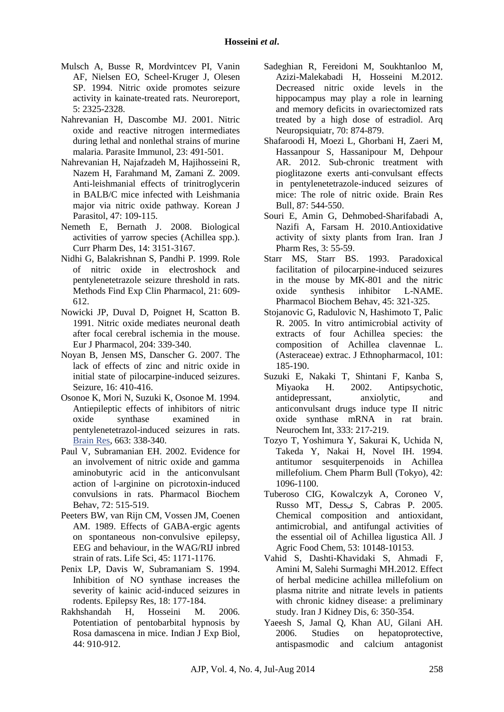- Mulsch A, Busse R, Mordvintcev PI, Vanin AF, Nielsen EO, Scheel-Kruger J, Olesen SP. 1994. Nitric oxide promotes seizure activity in kainate-treated rats. Neuroreport, 5: 2325-2328.
- Nahrevanian H, Dascombe MJ. 2001. Nitric oxide and reactive nitrogen intermediates during lethal and nonlethal strains of murine malaria. Parasite Immunol, 23: 491-501.
- Nahrevanian H, Najafzadeh M, Hajihosseini R, Nazem H, Farahmand M, Zamani Z. 2009. Anti-leishmanial effects of trinitroglycerin in BALB/C mice infected with Leishmania major via nitric oxide pathway. Korean J Parasitol, 47: 109-115.
- Nemeth E, Bernath J. 2008. Biological activities of yarrow species (Achillea spp.). Curr Pharm Des, 14: 3151-3167.
- Nidhi G, Balakrishnan S, Pandhi P. 1999. Role of nitric oxide in electroshock and pentylenetetrazole seizure threshold in rats. Methods Find Exp Clin Pharmacol, 21: 609- 612.
- Nowicki JP, Duval D, Poignet H, Scatton B. 1991. Nitric oxide mediates neuronal death after focal cerebral ischemia in the mouse. Eur J Pharmacol, 204: 339-340.
- Noyan B, Jensen MS, Danscher G. 2007. The lack of effects of zinc and nitric oxide in initial state of pilocarpine-induced seizures. Seizure, 16: 410-416.
- Osonoe K, Mori N, Suzuki K, Osonoe M. 1994. Antiepileptic effects of inhibitors of nitric oxide synthase examined in pentylenetetrazol-induced seizures in rats. [Brain Res,](http://www.ncbi.nlm.nih.gov/pubmed/?term=Pharmacological+evidence+that+%CE%B1-ketoisovaleric+acid+induces+convulsions+through+GABAergic+and+glutamatergic+mechanisms+in+rats) 663: 338-340.
- Paul V, Subramanian EH. 2002. Evidence for an involvement of nitric oxide and gamma aminobutyric acid in the anticonvulsant action of l-arginine on picrotoxin-induced convulsions in rats. Pharmacol Biochem Behav, 72: 515-519.
- Peeters BW, van Rijn CM, Vossen JM, Coenen AM. 1989. Effects of GABA-ergic agents on spontaneous non-convulsive epilepsy, EEG and behaviour, in the WAG/RIJ inbred strain of rats. Life Sci, 45: 1171-1176.
- Penix LP, Davis W, Subramaniam S. 1994. Inhibition of NO synthase increases the severity of kainic acid-induced seizures in rodents. Epilepsy Res, 18: 177-184.
- Rakhshandah H, Hosseini M. 2006. Potentiation of pentobarbital hypnosis by Rosa damascena in mice. Indian J Exp Biol, 44: 910-912.
- Sadeghian R, Fereidoni M, Soukhtanloo M, Azizi-Malekabadi H, Hosseini M.2012. Decreased nitric oxide levels in the hippocampus may play a role in learning and memory deficits in ovariectomized rats treated by a high dose of estradiol. Arq Neuropsiquiatr, 70: 874-879.
- Shafaroodi H, Moezi L, Ghorbani H, Zaeri M, Hassanpour S, Hassanipour M, Dehpour AR. 2012. Sub-chronic treatment with pioglitazone exerts anti-convulsant effects in pentylenetetrazole-induced seizures of mice: The role of nitric oxide. Brain Res Bull, 87: 544-550.
- Souri E, Amin G, Dehmobed-Sharifabadi A, Nazifi A, Farsam H. 2010.Antioxidative activity of sixty plants from Iran. Iran J Pharm Res, 3: 55-59.
- Starr MS, Starr BS. 1993. Paradoxical facilitation of pilocarpine-induced seizures in the mouse by MK-801 and the nitric oxide synthesis inhibitor L-NAME. Pharmacol Biochem Behav, 45: 321-325.
- Stojanovic G, Radulovic N, Hashimoto T, Palic R. 2005. In vitro antimicrobial activity of extracts of four Achillea species: the composition of Achillea clavennae L. (Asteraceae) extrac. J Ethnopharmacol, 101: 185-190.
- Suzuki E, Nakaki T, Shintani F, Kanba S, Miyaoka H. 2002. Antipsychotic, antidepressant, anxiolytic, and anticonvulsant drugs induce type II nitric oxide synthase mRNA in rat brain. Neurochem Int, 333: 217-219.
- Tozyo T, Yoshimura Y, Sakurai K, Uchida N, Takeda Y, Nakai H, Novel IH. 1994. antitumor sesquiterpenoids in Achillea millefolium. Chem Pharm Bull (Tokyo), 42: 1096-1100.
- Tuberoso CIG, Kowalczyk A, Coroneo V, Russo MT, Dessى S, Cabras P. 2005. Chemical composition and antioxidant, antimicrobial, and antifungal activities of the essential oil of Achillea ligustica All. J Agric Food Chem, 53: 10148-10153.
- Vahid S, Dashti-Khavidaki S, Ahmadi F, Amini M, Salehi Surmaghi MH.2012. Effect of herbal medicine achillea millefolium on plasma nitrite and nitrate levels in patients with chronic kidney disease: a preliminary study. Iran J Kidney Dis, 6: 350-354.
- Yaeesh S, Jamal Q, Khan AU, Gilani AH. 2006. Studies on hepatoprotective, antispasmodic and calcium antagonist